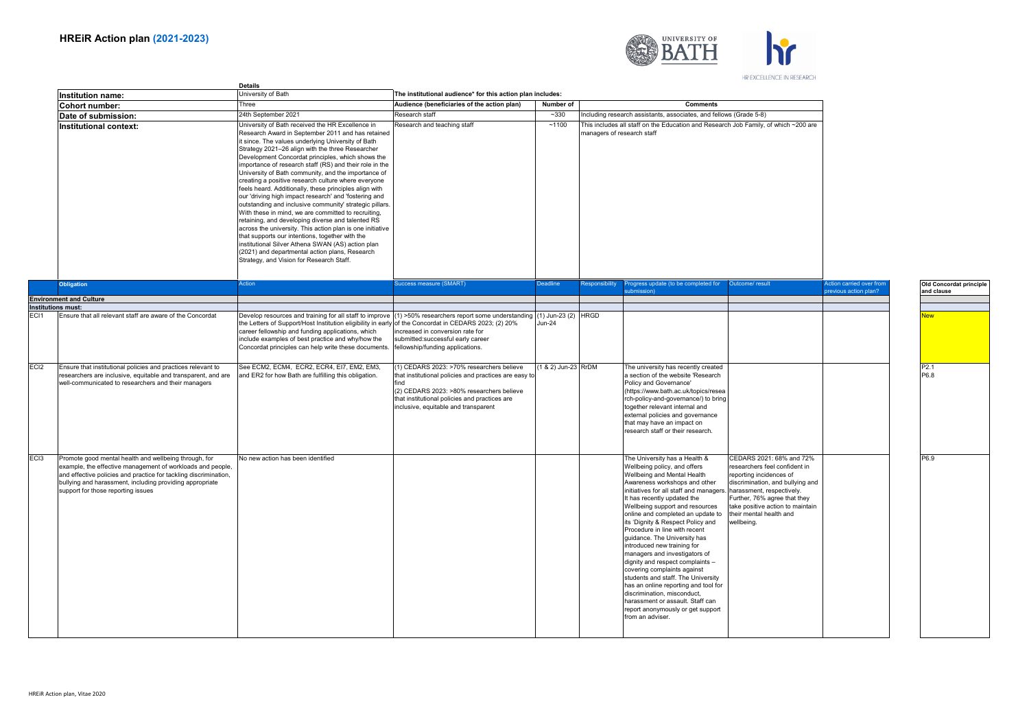

HR EXCELLENCE IN RESEARCH

|                  |                                                                                                                                                                                                                                                                                           | <b>Details</b><br>University of Bath<br>The institutional audience* for this action plan includes:                                                                                                                                                                                                                                                                                                                                                                                                                                                                                                                                                                                                                                                                                                                                                                                                                                                                                                         |                                                                                                                                                                                                                                                  |                     |                            |                                                                                                                                                                                                                                                                                                                                                                                                                                                                                                                                                                                                                                                                                                                                   |                                                                                                                                                                                                                                                                    |                                                          |  |
|------------------|-------------------------------------------------------------------------------------------------------------------------------------------------------------------------------------------------------------------------------------------------------------------------------------------|------------------------------------------------------------------------------------------------------------------------------------------------------------------------------------------------------------------------------------------------------------------------------------------------------------------------------------------------------------------------------------------------------------------------------------------------------------------------------------------------------------------------------------------------------------------------------------------------------------------------------------------------------------------------------------------------------------------------------------------------------------------------------------------------------------------------------------------------------------------------------------------------------------------------------------------------------------------------------------------------------------|--------------------------------------------------------------------------------------------------------------------------------------------------------------------------------------------------------------------------------------------------|---------------------|----------------------------|-----------------------------------------------------------------------------------------------------------------------------------------------------------------------------------------------------------------------------------------------------------------------------------------------------------------------------------------------------------------------------------------------------------------------------------------------------------------------------------------------------------------------------------------------------------------------------------------------------------------------------------------------------------------------------------------------------------------------------------|--------------------------------------------------------------------------------------------------------------------------------------------------------------------------------------------------------------------------------------------------------------------|----------------------------------------------------------|--|
|                  | Institution name:<br>Cohort number:                                                                                                                                                                                                                                                       | Three                                                                                                                                                                                                                                                                                                                                                                                                                                                                                                                                                                                                                                                                                                                                                                                                                                                                                                                                                                                                      | Audience (beneficiaries of the action plan)                                                                                                                                                                                                      | Number of           |                            | <b>Comments</b>                                                                                                                                                                                                                                                                                                                                                                                                                                                                                                                                                                                                                                                                                                                   |                                                                                                                                                                                                                                                                    |                                                          |  |
|                  | Date of submission:                                                                                                                                                                                                                                                                       | 24th September 2021                                                                                                                                                                                                                                                                                                                                                                                                                                                                                                                                                                                                                                                                                                                                                                                                                                                                                                                                                                                        | Research staff                                                                                                                                                                                                                                   | $-330$              |                            | Including research assistants, associates, and fellows (Grade 5-8)                                                                                                                                                                                                                                                                                                                                                                                                                                                                                                                                                                                                                                                                |                                                                                                                                                                                                                                                                    |                                                          |  |
|                  | Institutional context:                                                                                                                                                                                                                                                                    | University of Bath received the HR Excellence in<br>Research Award in September 2011 and has retained<br>it since. The values underlying University of Bath<br>Strategy 2021-26 align with the three Researcher<br>Development Concordat principles, which shows the<br>importance of research staff (RS) and their role in the<br>University of Bath community, and the importance of<br>creating a positive research culture where everyone<br>feels heard. Additionally, these principles align with<br>our 'driving high impact research' and 'fostering and<br>outstanding and inclusive community' strategic pillars.<br>With these in mind, we are committed to recruiting,<br>retaining, and developing diverse and talented RS<br>across the university. This action plan is one initiative<br>that supports our intentions, together with the<br>institutional Silver Athena SWAN (AS) action plan<br>(2021) and departmental action plans, Research<br>Strategy, and Vision for Research Staff. | Research and teaching staff                                                                                                                                                                                                                      | ~1100               | managers of research staff | This includes all staff on the Education and Research Job Family, of which ~200 are                                                                                                                                                                                                                                                                                                                                                                                                                                                                                                                                                                                                                                               |                                                                                                                                                                                                                                                                    |                                                          |  |
|                  | <b>Obligation</b>                                                                                                                                                                                                                                                                         | Action                                                                                                                                                                                                                                                                                                                                                                                                                                                                                                                                                                                                                                                                                                                                                                                                                                                                                                                                                                                                     | Success measure (SMART)                                                                                                                                                                                                                          | <b>Deadline</b>     | Responsibility             | rogress update (to be completed for<br>ubmission)                                                                                                                                                                                                                                                                                                                                                                                                                                                                                                                                                                                                                                                                                 | Outcome/ result                                                                                                                                                                                                                                                    | <b>Action carried over from</b><br>previous action plan? |  |
|                  | <b>Environment and Culture</b><br>Institutions must:                                                                                                                                                                                                                                      |                                                                                                                                                                                                                                                                                                                                                                                                                                                                                                                                                                                                                                                                                                                                                                                                                                                                                                                                                                                                            |                                                                                                                                                                                                                                                  |                     |                            |                                                                                                                                                                                                                                                                                                                                                                                                                                                                                                                                                                                                                                                                                                                                   |                                                                                                                                                                                                                                                                    |                                                          |  |
| ECI1             | Ensure that all relevant staff are aware of the Concordat                                                                                                                                                                                                                                 | Develop resources and training for all staff to improve (1) >50% researchers report some understanding (1) Jun-23 (2) HRGD<br>the Letters of Support/Host Institution eligibility in early of the Concordat in CEDARS 2023; (2) 20%<br>career fellowship and funding applications, which<br>include examples of best practice and why/how the<br>Concordat principles can help write these documents.                                                                                                                                                                                                                                                                                                                                                                                                                                                                                                                                                                                                      | increased in conversion rate for<br>submitted:successful early career<br>fellowship/funding applications.                                                                                                                                        | <b>Jun-24</b>       |                            |                                                                                                                                                                                                                                                                                                                                                                                                                                                                                                                                                                                                                                                                                                                                   |                                                                                                                                                                                                                                                                    |                                                          |  |
| ECI <sub>2</sub> | Ensure that institutional policies and practices relevant to<br>researchers are inclusive, equitable and transparent, and are<br>well-communicated to researchers and their managers                                                                                                      | See ECM2, ECM4, ECR2, ECR4, EI7, EM2, EM3,<br>and ER2 for how Bath are fulfilling this obligation.                                                                                                                                                                                                                                                                                                                                                                                                                                                                                                                                                                                                                                                                                                                                                                                                                                                                                                         | (1) CEDARS 2023: >70% researchers believe<br>that institutional policies and practices are easy to<br>find<br>(2) CEDARS 2023: >80% researchers believe<br>that institutional policies and practices are<br>inclusive, equitable and transparent | (1 & 2) Jun-23 RrDM |                            | The university has recently created<br>a section of the website 'Research<br>Policy and Governance'<br>(https://www.bath.ac.uk/topics/resea<br>rch-policy-and-governance/) to bring<br>together relevant internal and<br>external policies and governance<br>that may have an impact on<br>research staff or their research.                                                                                                                                                                                                                                                                                                                                                                                                      |                                                                                                                                                                                                                                                                    |                                                          |  |
| ECI3             | Promote good mental health and wellbeing through, for<br>example, the effective management of workloads and people,<br>and effective policies and practice for tackling discrimination,<br>bullying and harassment, including providing appropriate<br>support for those reporting issues | No new action has been identified                                                                                                                                                                                                                                                                                                                                                                                                                                                                                                                                                                                                                                                                                                                                                                                                                                                                                                                                                                          |                                                                                                                                                                                                                                                  |                     |                            | The University has a Health &<br>Wellbeing policy, and offers<br>Wellbeing and Mental Health<br>Awareness workshops and other<br>initiatives for all staff and managers<br>It has recently updated the<br>Wellbeing support and resources<br>online and completed an update to<br>its 'Dignity & Respect Policy and<br>Procedure in line with recent<br>guidance. The University has<br>introduced new training for<br>managers and investigators of<br>dignity and respect complaints -<br>covering complaints against<br>students and staff. The University<br>has an online reporting and tool for<br>discrimination, misconduct,<br>harassment or assault. Staff can<br>report anonymously or get support<br>from an adviser. | CEDARS 2021: 68% and 72%<br>researchers feel confident in<br>reporting incidences of<br>discrimination, and bullying and<br>harassment, respectively.<br>Further, 76% agree that they<br>take positive action to maintain<br>their mental health and<br>wellbeina. |                                                          |  |

P2.1 P6.8 P6.9

**Old Concordat principle and clause**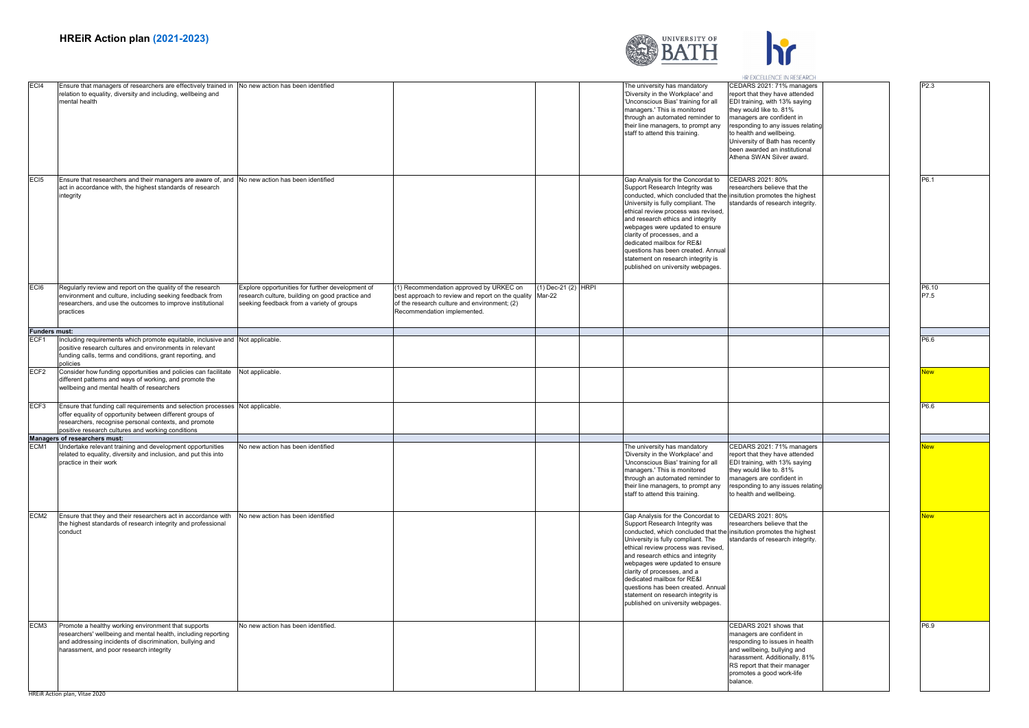

|                      |                                                                                                                                                                                                                                                        |                                                                                                                                                  |                                                                                                                                                                                   |                     |                                                                                                                                                                                                                                                                                                                                                                                                                                                                               | HR EXCELLENCE IN RESEARCH                                                                                                                                                                                                                                                                                              |               |
|----------------------|--------------------------------------------------------------------------------------------------------------------------------------------------------------------------------------------------------------------------------------------------------|--------------------------------------------------------------------------------------------------------------------------------------------------|-----------------------------------------------------------------------------------------------------------------------------------------------------------------------------------|---------------------|-------------------------------------------------------------------------------------------------------------------------------------------------------------------------------------------------------------------------------------------------------------------------------------------------------------------------------------------------------------------------------------------------------------------------------------------------------------------------------|------------------------------------------------------------------------------------------------------------------------------------------------------------------------------------------------------------------------------------------------------------------------------------------------------------------------|---------------|
| EC <sub>14</sub>     | Ensure that managers of researchers are effectively trained in No new action has been identified<br>relation to equality, diversity and including, wellbeing and<br>mental health                                                                      |                                                                                                                                                  |                                                                                                                                                                                   |                     | The university has mandatory<br>'Diversity in the Workplace' and<br>'Unconscious Bias' training for all<br>managers.' This is monitored<br>through an automated reminder to<br>their line managers, to prompt any<br>staff to attend this training.                                                                                                                                                                                                                           | CEDARS 2021: 71% managers<br>report that they have attended<br>EDI training, with 13% saying<br>they would like to. 81%<br>managers are confident in<br>responding to any issues relating<br>to health and wellbeing.<br>University of Bath has recently<br>been awarded an institutional<br>Athena SWAN Silver award. | P2 3          |
| EC <sub>I5</sub>     | Ensure that researchers and their managers are aware of, and No new action has been identified<br>act in accordance with, the highest standards of research<br>integrity                                                                               |                                                                                                                                                  |                                                                                                                                                                                   |                     | Gap Analysis for the Concordat to<br>Support Research Integrity was<br>conducted, which concluded that the insitution promotes the highest<br>University is fully compliant. The<br>ethical review process was revised,<br>and research ethics and integrity<br>webpages were updated to ensure<br>clarity of processes, and a<br>dedicated mailbox for RE&I<br>questions has been created. Annual<br>statement on research integrity is<br>published on university webpages. | CEDARS 2021: 80%<br>esearchers believe that the<br>standards of research integrity.                                                                                                                                                                                                                                    | P6.1          |
| EC <sub>I6</sub>     | Regularly review and report on the quality of the research<br>environment and culture, including seeking feedback from<br>researchers, and use the outcomes to improve institutional<br>practices                                                      | Explore opportunities for further development of<br>research culture, building on good practice and<br>seeking feedback from a variety of groups | 1) Recommendation approved by URKEC on<br>best approach to review and report on the quality Mar-22<br>of the research culture and environment; (2)<br>Recommendation implemented. | (1) Dec-21 (2) HRPI |                                                                                                                                                                                                                                                                                                                                                                                                                                                                               |                                                                                                                                                                                                                                                                                                                        | P6.10<br>P7.5 |
| <b>Funders must:</b> |                                                                                                                                                                                                                                                        |                                                                                                                                                  |                                                                                                                                                                                   |                     |                                                                                                                                                                                                                                                                                                                                                                                                                                                                               |                                                                                                                                                                                                                                                                                                                        |               |
| ECF <sub>1</sub>     | Including requirements which promote equitable, inclusive and Not applicable<br>positive research cultures and environments in relevant<br>funding calls, terms and conditions, grant reporting, and<br>policies                                       |                                                                                                                                                  |                                                                                                                                                                                   |                     |                                                                                                                                                                                                                                                                                                                                                                                                                                                                               |                                                                                                                                                                                                                                                                                                                        | P6.6          |
| ECF <sub>2</sub>     | Consider how funding opportunities and policies can facilitate<br>different patterns and ways of working, and promote the<br>wellbeing and mental health of researchers                                                                                | Not applicable.                                                                                                                                  |                                                                                                                                                                                   |                     |                                                                                                                                                                                                                                                                                                                                                                                                                                                                               |                                                                                                                                                                                                                                                                                                                        | <b>New</b>    |
| ECF3                 | Ensure that funding call requirements and selection processes Not applicable.<br>offer equality of opportunity between different groups of<br>researchers, recognise personal contexts, and promote                                                    |                                                                                                                                                  |                                                                                                                                                                                   |                     |                                                                                                                                                                                                                                                                                                                                                                                                                                                                               |                                                                                                                                                                                                                                                                                                                        | P6.6          |
|                      | positive research cultures and working conditions                                                                                                                                                                                                      |                                                                                                                                                  |                                                                                                                                                                                   |                     |                                                                                                                                                                                                                                                                                                                                                                                                                                                                               |                                                                                                                                                                                                                                                                                                                        |               |
| ECM <sub>1</sub>     | Managers of researchers must:<br>Undertake relevant training and development opportunities<br>related to equality, diversity and inclusion, and put this into<br>practice in their work                                                                | No new action has been identified                                                                                                                |                                                                                                                                                                                   |                     | The university has mandatory<br>'Diversity in the Workplace' and<br>'Unconscious Bias' training for all<br>managers.' This is monitored<br>through an automated reminder to<br>their line managers, to prompt any<br>staff to attend this training.                                                                                                                                                                                                                           | CEDARS 2021: 71% managers<br>eport that they have attended<br>EDI training, with 13% saying<br>they would like to. 81%<br>managers are confident in<br>responding to any issues relating<br>to health and wellbeing.                                                                                                   | lew           |
| ECM <sub>2</sub>     | Ensure that they and their researchers act in accordance with<br>the highest standards of research integrity and professional<br>conduct                                                                                                               | No new action has been identified                                                                                                                |                                                                                                                                                                                   |                     | Gap Analysis for the Concordat to<br>Support Research Integrity was<br>conducted, which concluded that the insitution promotes the highest<br>University is fully compliant. The<br>ethical review process was revised,<br>and research ethics and integrity<br>webpages were updated to ensure<br>clarity of processes, and a<br>dedicated mailbox for RE&I<br>questions has been created. Annual<br>statement on research integrity is<br>published on university webpages. | CEDARS 2021: 80%<br>researchers believe that the<br>standards of research integrity.                                                                                                                                                                                                                                   | <b>Vew</b>    |
| ECM3                 | Promote a healthy working environment that supports<br>researchers' wellbeing and mental health, including reporting<br>and addressing incidents of discrimination, bullying and<br>harassment, and poor research integrity<br>Action plan, Vitae 2020 | No new action has been identified.                                                                                                               |                                                                                                                                                                                   |                     |                                                                                                                                                                                                                                                                                                                                                                                                                                                                               | CEDARS 2021 shows that<br>managers are confident in<br>responding to issues in health<br>and wellbeing, bullying and<br>harassment. Additionally, 81%<br>RS report that their manager<br>promotes a good work-life<br>balance.                                                                                         | P6.9          |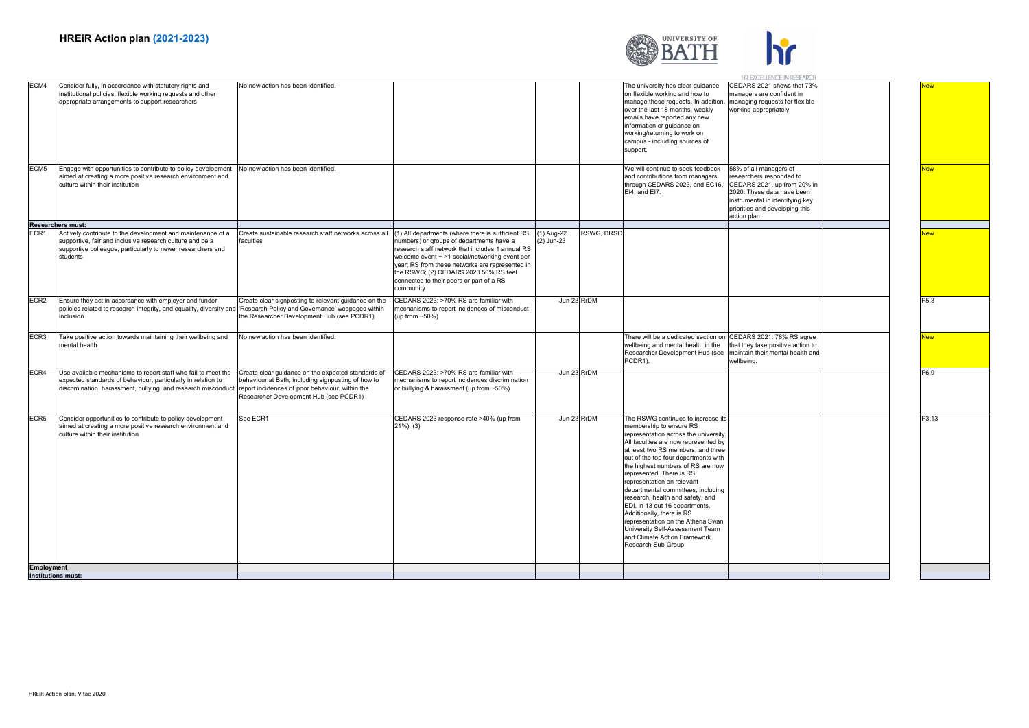

|      |                                                                                                                                                                                                    |                                                                                                                                                                                                       |                                                                                                                                                                                                                                                                                                     |                          |            |                                                                                                                                                                                                                                                                                                                                                                                                                                                                                                                                                                                                     | HR EXCELLENCE IN RESEARCH                                                                                                                                                                            |                  |
|------|----------------------------------------------------------------------------------------------------------------------------------------------------------------------------------------------------|-------------------------------------------------------------------------------------------------------------------------------------------------------------------------------------------------------|-----------------------------------------------------------------------------------------------------------------------------------------------------------------------------------------------------------------------------------------------------------------------------------------------------|--------------------------|------------|-----------------------------------------------------------------------------------------------------------------------------------------------------------------------------------------------------------------------------------------------------------------------------------------------------------------------------------------------------------------------------------------------------------------------------------------------------------------------------------------------------------------------------------------------------------------------------------------------------|------------------------------------------------------------------------------------------------------------------------------------------------------------------------------------------------------|------------------|
| ECM4 | Consider fully, in accordance with statutory rights and<br>institutional policies, flexible working requests and other<br>appropriate arrangements to support researchers                          | No new action has been identified.                                                                                                                                                                    |                                                                                                                                                                                                                                                                                                     |                          |            | The university has clear guidance<br>on flexible working and how to<br>manage these requests. In addition<br>over the last 18 months, weekly<br>emails have reported any new<br>information or guidance on<br>working/returning to work on<br>campus - including sources of<br>support.                                                                                                                                                                                                                                                                                                             | CEDARS 2021 shows that 73%<br>managers are confident in<br>managing requests for flexible<br>working appropriately.                                                                                  | lew              |
| ECM5 | Engage with opportunities to contribute to policy development<br>aimed at creating a more positive research environment and<br>culture within their institution                                    | No new action has been identified.                                                                                                                                                                    |                                                                                                                                                                                                                                                                                                     |                          |            | We will continue to seek feedback<br>and contributions from managers<br>through CEDARS 2023, and EC16,<br>EI4, and EI7.                                                                                                                                                                                                                                                                                                                                                                                                                                                                             | 58% of all managers of<br>researchers responded to<br>CEDARS 2021, up from 20% in<br>2020. These data have been<br>instrumental in identifying key<br>priorities and developing this<br>action plan. | New              |
|      | Researchers must:                                                                                                                                                                                  |                                                                                                                                                                                                       |                                                                                                                                                                                                                                                                                                     |                          |            |                                                                                                                                                                                                                                                                                                                                                                                                                                                                                                                                                                                                     |                                                                                                                                                                                                      |                  |
| ECR1 | Actively contribute to the development and maintenance of a<br>supportive, fair and inclusive research culture and be a<br>supportive colleague, particularly to newer researchers and<br>students | Create sustainable research staff networks across all (1) All departments (where there is sufficient RS<br>faculties                                                                                  | numbers) or groups of departments have a<br>research staff network that includes 1 annual RS<br>welcome event + >1 social/networking event per<br>year; RS from these networks are represented in<br>the RSWG; (2) CEDARS 2023 50% RS feel<br>connected to their peers or part of a RS<br>community | (1) Aug-22<br>(2) Jun-23 | RSWG, DRSC |                                                                                                                                                                                                                                                                                                                                                                                                                                                                                                                                                                                                     |                                                                                                                                                                                                      | <u>New</u>       |
| ECR2 | Ensure they act in accordance with employer and funder<br>policies related to research integrity, and equality, diversity and 'Research Policy and Governance' webpages within<br>inclusion        | Create clear signposting to relevant guidance on the<br>the Researcher Development Hub (see PCDR1)                                                                                                    | CEDARS 2023: >70% RS are familiar with<br>mechanisms to report incidences of misconduct<br>(up from ~50%)                                                                                                                                                                                           | Jun-23 RrDM              |            |                                                                                                                                                                                                                                                                                                                                                                                                                                                                                                                                                                                                     |                                                                                                                                                                                                      | P5.3             |
| ECR3 | Take positive action towards maintaining their wellbeing and<br>mental health                                                                                                                      | No new action has been identified.                                                                                                                                                                    |                                                                                                                                                                                                                                                                                                     |                          |            | There will be a dedicated section on<br>wellbeing and mental health in the<br>Researcher Development Hub (see<br>PCDR1).                                                                                                                                                                                                                                                                                                                                                                                                                                                                            | CEDARS 2021: 78% RS agree<br>that they take positive action to<br>maintain their mental health and<br>wellbeing.                                                                                     | New              |
| ECR4 | Use available mechanisms to report staff who fail to meet the<br>expected standards of behaviour, particularly in relation to<br>discrimination, harassment, bullying, and research misconduct     | Create clear guidance on the expected standards of<br>behaviour at Bath, including signposting of how to<br>report incidences of poor behaviour, within the<br>Researcher Development Hub (see PCDR1) | CEDARS 2023: >70% RS are familiar with<br>nechanisms to report incidences discrimination<br>or bullying & harassment (up from ~50%)                                                                                                                                                                 | Jun-23 RrDM              |            |                                                                                                                                                                                                                                                                                                                                                                                                                                                                                                                                                                                                     |                                                                                                                                                                                                      | P6.9             |
| ECR5 | Consider opportunities to contribute to policy development<br>aimed at creating a more positive research environment and<br>culture within their institution                                       | See ECR1                                                                                                                                                                                              | CEDARS 2023 response rate >40% (up from<br>$21\%$ ; (3)                                                                                                                                                                                                                                             | Jun-23 RrDM              |            | The RSWG continues to increase its<br>membership to ensure RS<br>representation across the university.<br>All faculties are now represented by<br>at least two RS members, and three<br>out of the top four departments with<br>the highest numbers of RS are now<br>represented. There is RS<br>representation on relevant<br>departmental committees, including<br>research, health and safety, and<br>EDI, in 13 out 16 departments.<br>Additionally, there is RS<br>representation on the Athena Swan<br>University Self-Assessment Team<br>and Climate Action Framework<br>Research Sub-Group. |                                                                                                                                                                                                      | P <sub>3.1</sub> |
|      |                                                                                                                                                                                                    |                                                                                                                                                                                                       |                                                                                                                                                                                                                                                                                                     |                          |            |                                                                                                                                                                                                                                                                                                                                                                                                                                                                                                                                                                                                     |                                                                                                                                                                                                      |                  |

lew New P3.13

**Employment Institutions must:**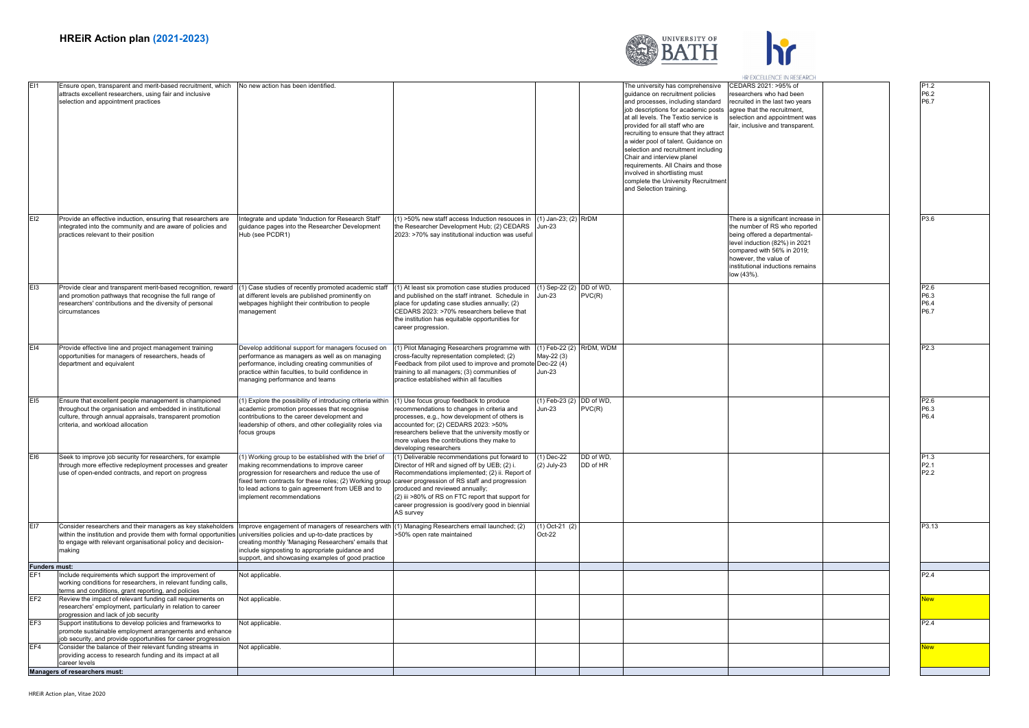



|                      |                                                                                                                                                                                                                                |                                                                                                                                                                                                                                                                                                                                                   |                                                                                                                                                                                                                                                                                                             |                                                         |                       |                                                                                                                                                                                                                                                                                                                                                                                                                                                                                                                           | HR EXCELLENCE IN RESEARCH                                                                                                                                                                                                                      |  |                                              |
|----------------------|--------------------------------------------------------------------------------------------------------------------------------------------------------------------------------------------------------------------------------|---------------------------------------------------------------------------------------------------------------------------------------------------------------------------------------------------------------------------------------------------------------------------------------------------------------------------------------------------|-------------------------------------------------------------------------------------------------------------------------------------------------------------------------------------------------------------------------------------------------------------------------------------------------------------|---------------------------------------------------------|-----------------------|---------------------------------------------------------------------------------------------------------------------------------------------------------------------------------------------------------------------------------------------------------------------------------------------------------------------------------------------------------------------------------------------------------------------------------------------------------------------------------------------------------------------------|------------------------------------------------------------------------------------------------------------------------------------------------------------------------------------------------------------------------------------------------|--|----------------------------------------------|
|                      | Ensure open, transparent and merit-based recruitment, which<br>attracts excellent researchers, using fair and inclusive<br>selection and appointment practices                                                                 | No new action has been identified.                                                                                                                                                                                                                                                                                                                |                                                                                                                                                                                                                                                                                                             |                                                         |                       | The university has comprehensive<br>quidance on recruitment policies<br>and processes, including standard<br>job descriptions for academic posts<br>at all levels. The Textio service is<br>provided for all staff who are<br>recruiting to ensure that they attract<br>a wider pool of talent. Guidance on<br>selection and recruitment including<br>Chair and interview planel<br>requirements. All Chairs and those<br>involved in shortlisting must<br>complete the University Recruitment<br>and Selection training. | CEDARS 2021: >95% of<br>esearchers who had been<br>ecruited in the last two years<br>agree that the recruitment,<br>selection and appointment was<br>fair, inclusive and transparent.                                                          |  | P <sub>1.2</sub><br>P6.2<br>P6.7             |
| E12                  | Provide an effective induction, ensuring that researchers are<br>integrated into the community and are aware of policies and<br>practices relevant to their position                                                           | ntegrate and update 'Induction for Research Staff<br>guidance pages into the Researcher Development<br>Hub (see PCDR1)                                                                                                                                                                                                                            | (1) >50% new staff access Induction resouces in<br>the Researcher Development Hub; (2) CEDARS<br>2023: >70% say institutional induction was useful                                                                                                                                                          | (1) Jan-23; (2) RrDM<br>Jun-23                          |                       |                                                                                                                                                                                                                                                                                                                                                                                                                                                                                                                           | There is a significant increase in<br>the number of RS who reported<br>being offered a departmental-<br>level induction (82%) in 2021<br>compared with 56% in 2019:<br>however, the value of<br>institutional inductions remains<br>low (43%). |  | P3.6                                         |
| E <sub>13</sub>      | Provide clear and transparent merit-based recognition, reward<br>and promotion pathways that recognise the full range of<br>researchers' contributions and the diversity of personal<br>circumstances                          | (1) Case studies of recently promoted academic staff<br>at different levels are published prominently on<br>webpages highlight their contribution to people<br>nanagement                                                                                                                                                                         | (1) At least six promotion case studies produced<br>and published on the staff intranet. Schedule in Jun-23<br>place for updating case studies annually; (2)<br>CEDARS 2023: >70% researchers believe that<br>the institution has equitable opportunities for<br>career progression.                        | (1) Sep-22 (2) DD of WD,                                | PVC(R)                |                                                                                                                                                                                                                                                                                                                                                                                                                                                                                                                           |                                                                                                                                                                                                                                                |  | P2.6<br>P6.3<br>P6.4<br>P6.7                 |
| FI4                  | Provide effective line and project management training<br>opportunities for managers of researchers, heads of<br>department and equivalent                                                                                     | Develop additional support for managers focused on<br>performance as managers as well as on managing<br>performance, including creating communities of<br>practice within faculties, to build confidence in<br>managing performance and teams                                                                                                     | (1) Pilot Managing Researchers programme with<br>cross-faculty representation completed; (2)<br>Feedback from pilot used to improve and promote Dec-22 (4)<br>training to all managers; (3) communities of<br>practice established within all faculties                                                     | (1) Feb-22 (2) RrDM, WDM<br>May-22 (3)<br><b>Jun-23</b> |                       |                                                                                                                                                                                                                                                                                                                                                                                                                                                                                                                           |                                                                                                                                                                                                                                                |  | P <sub>2.3</sub>                             |
|                      | Ensure that excellent people management is championed<br>throughout the organisation and embedded in institutional<br>culture, through annual appraisals, transparent promotion<br>criteria, and workload allocation           | (1) Explore the possibility of introducing criteria within<br>academic promotion processes that recognise<br>contributions to the career development and<br>leadership of others, and other collegiality roles via<br>focus groups                                                                                                                | (1) Use focus group feedback to produce<br>recommendations to changes in criteria and<br>processes, e.g., how development of others is<br>accounted for; (2) CEDARS 2023: >50%<br>researchers believe that the university mostly or<br>more values the contributions they make to<br>developing researchers | (1) Feb-23 (2) DD of WD,<br>Jun-23                      | PVC(R)                |                                                                                                                                                                                                                                                                                                                                                                                                                                                                                                                           |                                                                                                                                                                                                                                                |  | P2.6<br>P6.3<br>P6.4                         |
| EI6                  | Seek to improve job security for researchers, for example<br>through more effective redeployment processes and greater<br>use of open-ended contracts, and report on progress                                                  | (1) Working group to be established with the brief of<br>making recommendations to improve career<br>progression for researchers and reduce the use of<br>fixed term contracts for these roles; (2) Working group career progression of RS staff and progression<br>to lead actions to gain agreement from UEB and to<br>mplement recommendations | (1) Deliverable recommendations put forward to<br>Director of HR and signed off by UEB; (2) i.<br>Recommendations implemented; (2) ii. Report of<br>produced and reviewed annually;<br>(2) iii >80% of RS on FTC report that support for<br>career progression is good/very good in biennial<br>AS survev   | (1) Dec-22<br>(2) July-23                               | DD of WD.<br>DD of HR |                                                                                                                                                                                                                                                                                                                                                                                                                                                                                                                           |                                                                                                                                                                                                                                                |  | P1.3<br>P <sub>2.1</sub><br>P <sub>2.2</sub> |
| EI7                  | Consider researchers and their managers as key stakeholders<br>within the institution and provide them with formal opportunities<br>to engage with relevant organisational policy and decision-<br>making                      | Improve engagement of managers of researchers with (1) Managing Researchers email launched; (2)<br>universities policies and up-to-date practices by<br>creating monthly 'Managing Researchers' emails that<br>include signposting to appropriate guidance and<br>support, and showcasing examples of good practice                               | 50% open rate maintained                                                                                                                                                                                                                                                                                    | $(1)$ Oct-21 $(2)$<br>$Oct-22$                          |                       |                                                                                                                                                                                                                                                                                                                                                                                                                                                                                                                           |                                                                                                                                                                                                                                                |  | P3.13                                        |
| <b>Funders must:</b> | Include requirements which support the improvement of                                                                                                                                                                          | Not applicable.                                                                                                                                                                                                                                                                                                                                   |                                                                                                                                                                                                                                                                                                             |                                                         |                       |                                                                                                                                                                                                                                                                                                                                                                                                                                                                                                                           |                                                                                                                                                                                                                                                |  | P <sub>2.4</sub>                             |
|                      | working conditions for researchers, in relevant funding calls,<br>terms and conditions, grant reporting, and policies                                                                                                          |                                                                                                                                                                                                                                                                                                                                                   |                                                                                                                                                                                                                                                                                                             |                                                         |                       |                                                                                                                                                                                                                                                                                                                                                                                                                                                                                                                           |                                                                                                                                                                                                                                                |  |                                              |
| EF <sub>2</sub>      | Review the impact of relevant funding call requirements on<br>esearchers' employment, particularly in relation to career                                                                                                       | Not applicable                                                                                                                                                                                                                                                                                                                                    |                                                                                                                                                                                                                                                                                                             |                                                         |                       |                                                                                                                                                                                                                                                                                                                                                                                                                                                                                                                           |                                                                                                                                                                                                                                                |  | lew                                          |
| EF3                  | progression and lack of job security<br>Support institutions to develop policies and frameworks to<br>romote sustainable employment arrangements and enhance<br>job security, and provide opportunities for career progression | Not applicable.                                                                                                                                                                                                                                                                                                                                   |                                                                                                                                                                                                                                                                                                             |                                                         |                       |                                                                                                                                                                                                                                                                                                                                                                                                                                                                                                                           |                                                                                                                                                                                                                                                |  | P2.4                                         |
| EF4                  | Consider the balance of their relevant funding streams in<br>providing access to research funding and its impact at all<br>career levels                                                                                       | Not applicable.                                                                                                                                                                                                                                                                                                                                   |                                                                                                                                                                                                                                                                                                             |                                                         |                       |                                                                                                                                                                                                                                                                                                                                                                                                                                                                                                                           |                                                                                                                                                                                                                                                |  | lew                                          |
|                      | Managers of researchers must:                                                                                                                                                                                                  |                                                                                                                                                                                                                                                                                                                                                   |                                                                                                                                                                                                                                                                                                             |                                                         |                       |                                                                                                                                                                                                                                                                                                                                                                                                                                                                                                                           |                                                                                                                                                                                                                                                |  |                                              |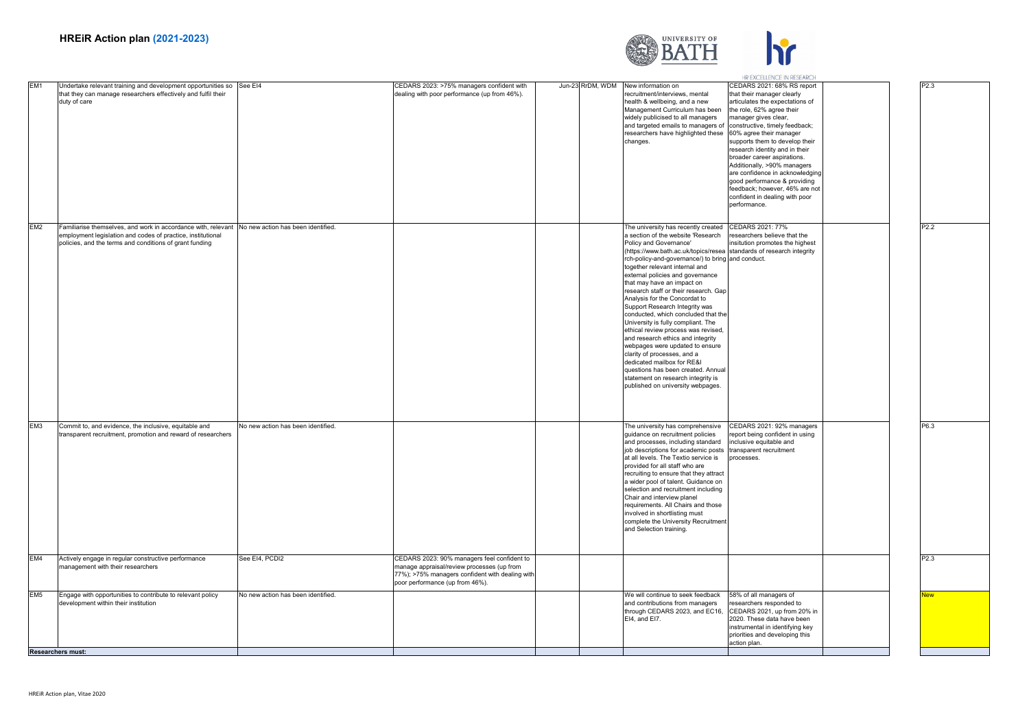

|                 |                                                                                                                                                                                                                            |                                    |                                                                                                                                                                                 |                  |                                                                                                                                                                                                                                                                                                                                                                                                                                                                                                                                                                                                                                                                                                                                                                                                                            | HR EXCELLENCE IN RESEARCH                                                                                                                                                                                                                                                                                                                                                                                                                                                                              |                  |
|-----------------|----------------------------------------------------------------------------------------------------------------------------------------------------------------------------------------------------------------------------|------------------------------------|---------------------------------------------------------------------------------------------------------------------------------------------------------------------------------|------------------|----------------------------------------------------------------------------------------------------------------------------------------------------------------------------------------------------------------------------------------------------------------------------------------------------------------------------------------------------------------------------------------------------------------------------------------------------------------------------------------------------------------------------------------------------------------------------------------------------------------------------------------------------------------------------------------------------------------------------------------------------------------------------------------------------------------------------|--------------------------------------------------------------------------------------------------------------------------------------------------------------------------------------------------------------------------------------------------------------------------------------------------------------------------------------------------------------------------------------------------------------------------------------------------------------------------------------------------------|------------------|
| EM <sub>1</sub> | Undertake relevant training and development opportunities so<br>that they can manage researchers effectively and fulfil their<br>duty of care                                                                              | See EI4                            | CEDARS 2023: >75% managers confident with<br>dealing with poor performance (up from 46%).                                                                                       | Jun-23 RrDM, WDM | New information on<br>recruitment/interviews, mental<br>health & wellbeing, and a new<br>Management Curriculum has been<br>widely publicised to all managers<br>and targeted emails to managers of<br>researchers have highlighted these<br>changes.                                                                                                                                                                                                                                                                                                                                                                                                                                                                                                                                                                       | CEDARS 2021: 68% RS report<br>that their manager clearly<br>articulates the expectations of<br>the role, 62% agree their<br>manager gives clear,<br>constructive, timely feedback;<br>60% agree their manager<br>supports them to develop their<br>research identity and in their<br>broader career aspirations.<br>Additionally, >90% managers<br>are confidence in acknowledging<br>good performance & providing<br>feedback; however, 46% are not<br>confident in dealing with poor<br>performance. | P2.3             |
| EM <sub>2</sub> | Familiarise themselves, and work in accordance with, relevant No new action has been identified.<br>employment legislation and codes of practice, institutional<br>policies, and the terms and conditions of grant funding |                                    |                                                                                                                                                                                 |                  | The university has recently created<br>a section of the website 'Research<br>Policy and Governance'<br>(https://www.bath.ac.uk/topics/resea standards of research integrity<br>rch-policy-and-governance/) to bring and conduct.<br>together relevant internal and<br>external policies and governance<br>that may have an impact on<br>research staff or their research. Gap<br>Analysis for the Concordat to<br>Support Research Integrity was<br>conducted, which concluded that the<br>University is fully compliant. The<br>ethical review process was revised,<br>and research ethics and integrity<br>webpages were updated to ensure<br>clarity of processes, and a<br>dedicated mailbox for RE&I<br>questions has been created. Annual<br>statement on research integrity is<br>published on university webpages. | CEDARS 2021: 77%<br>researchers believe that the<br>insitution promotes the highest                                                                                                                                                                                                                                                                                                                                                                                                                    | P <sub>2.2</sub> |
| EM <sub>3</sub> | Commit to, and evidence, the inclusive, equitable and<br>transparent recruitment, promotion and reward of researchers                                                                                                      | No new action has been identified. |                                                                                                                                                                                 |                  | The university has comprehensive<br>guidance on recruitment policies<br>and processes, including standard<br>job descriptions for academic posts<br>at all levels. The Textio service is<br>provided for all staff who are<br>recruiting to ensure that they attract<br>a wider pool of talent. Guidance on<br>selection and recruitment including<br>Chair and interview planel<br>requirements. All Chairs and those<br>involved in shortlisting must<br>complete the University Recruitment<br>and Selection training.                                                                                                                                                                                                                                                                                                  | CEDARS 2021: 92% managers<br>report being confident in using<br>inclusive equitable and<br>transparent recruitment<br>processes.                                                                                                                                                                                                                                                                                                                                                                       | P6.3             |
| EM4             | Actively engage in regular constructive performance<br>nanagement with their researchers                                                                                                                                   | See EI4, PCDI2                     | CEDARS 2023: 90% managers feel confident to<br>manage appraisal/review processes (up from<br>77%); >75% managers confident with dealing with<br>poor performance (up from 46%). |                  |                                                                                                                                                                                                                                                                                                                                                                                                                                                                                                                                                                                                                                                                                                                                                                                                                            |                                                                                                                                                                                                                                                                                                                                                                                                                                                                                                        | P <sub>2.3</sub> |
| EM <sub>5</sub> | Engage with opportunities to contribute to relevant policy<br>development within their institution                                                                                                                         | No new action has been identified. |                                                                                                                                                                                 |                  | We will continue to seek feedback<br>and contributions from managers<br>through CEDARS 2023, and EC16,<br>EI4, and EI7.                                                                                                                                                                                                                                                                                                                                                                                                                                                                                                                                                                                                                                                                                                    | 58% of all managers of<br>researchers responded to<br>CEDARS 2021, up from 20% in<br>2020. These data have been<br>instrumental in identifying key<br>priorities and developing this<br>action plan.                                                                                                                                                                                                                                                                                                   | <b>New</b>       |
|                 | <b>Researchers must:</b>                                                                                                                                                                                                   |                                    |                                                                                                                                                                                 |                  |                                                                                                                                                                                                                                                                                                                                                                                                                                                                                                                                                                                                                                                                                                                                                                                                                            |                                                                                                                                                                                                                                                                                                                                                                                                                                                                                                        |                  |
|                 |                                                                                                                                                                                                                            |                                    |                                                                                                                                                                                 |                  |                                                                                                                                                                                                                                                                                                                                                                                                                                                                                                                                                                                                                                                                                                                                                                                                                            |                                                                                                                                                                                                                                                                                                                                                                                                                                                                                                        |                  |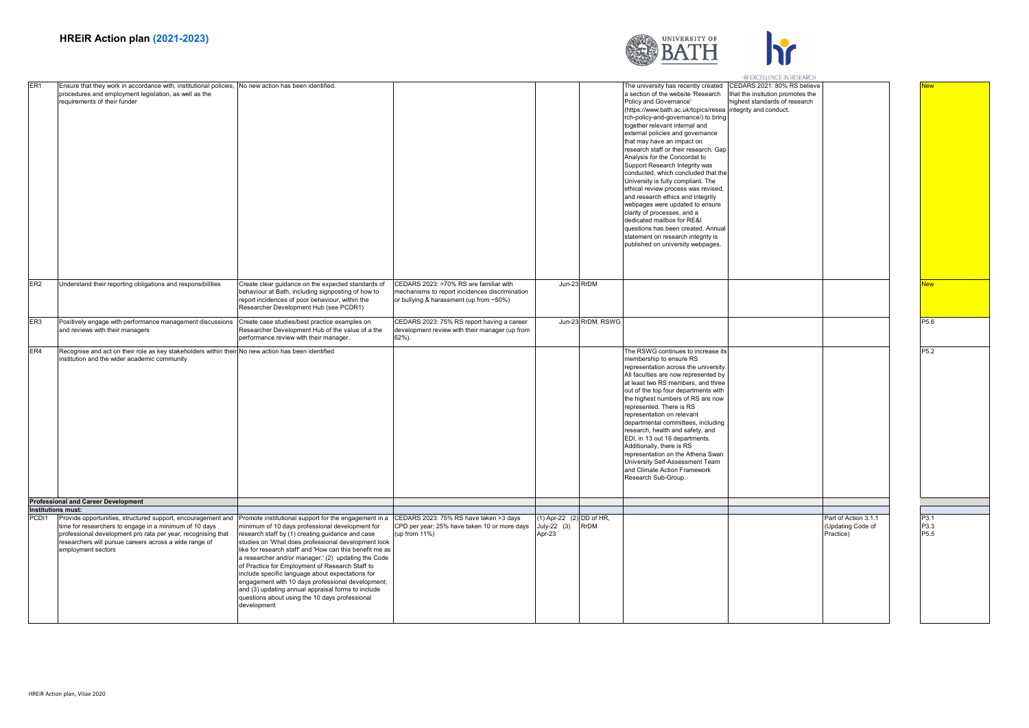

|                                                                                                                                                                                                                                                                                             |                                                                                                                                                                                                                                                                                                                                                                                                                                                                                                                                                                                                                           |                                                                                                                                     |                                                     |                   |                                                                                                                                                                                                                                                                                                                                                                                                                                                                                                                                                                                                                                                                                                                                                                               | HR EXCELLENCE IN RESEARCH                                                                                                 |                                                        |                                  |
|---------------------------------------------------------------------------------------------------------------------------------------------------------------------------------------------------------------------------------------------------------------------------------------------|---------------------------------------------------------------------------------------------------------------------------------------------------------------------------------------------------------------------------------------------------------------------------------------------------------------------------------------------------------------------------------------------------------------------------------------------------------------------------------------------------------------------------------------------------------------------------------------------------------------------------|-------------------------------------------------------------------------------------------------------------------------------------|-----------------------------------------------------|-------------------|-------------------------------------------------------------------------------------------------------------------------------------------------------------------------------------------------------------------------------------------------------------------------------------------------------------------------------------------------------------------------------------------------------------------------------------------------------------------------------------------------------------------------------------------------------------------------------------------------------------------------------------------------------------------------------------------------------------------------------------------------------------------------------|---------------------------------------------------------------------------------------------------------------------------|--------------------------------------------------------|----------------------------------|
| ER <sub>1</sub><br>Ensure that they work in accordance with, institutional policies, No new action has been identified<br>procedures and employment legislation, as well as the<br>requirements of their funder                                                                             |                                                                                                                                                                                                                                                                                                                                                                                                                                                                                                                                                                                                                           |                                                                                                                                     |                                                     |                   | The university has recently created<br>a section of the website 'Research<br>Policy and Governance'<br>(https://www.bath.ac.uk/topics/resea<br>rch-policy-and-governance/) to bring<br>together relevant internal and<br>external policies and governance<br>that may have an impact on<br>research staff or their research. Gap<br>Analysis for the Concordat to<br>Support Research Integrity was<br>conducted, which concluded that the<br>University is fully compliant. The<br>ethical review process was revised,<br>and research ethics and integrity<br>webpages were updated to ensure<br>clarity of processes, and a<br>dedicated mailbox for RE&I<br>questions has been created. Annual<br>statement on research integrity is<br>published on university webpages. | CEDARS 2021: 80% RS believe<br>hat the insitution promotes the<br>highest standards of research<br>integrity and conduct. |                                                        |                                  |
| ER <sub>2</sub><br>Understand their reporting obligations and responsibilities                                                                                                                                                                                                              | Create clear guidance on the expected standards of<br>behaviour at Bath, including signposting of how to<br>report incidences of poor behaviour, within the<br>Researcher Development Hub (see PCDR1)                                                                                                                                                                                                                                                                                                                                                                                                                     | CEDARS 2023: >70% RS are familiar with<br>mechanisms to report incidences discrimination<br>or bullying & harassment (up from ~50%) |                                                     | Jun-23 RrDM       |                                                                                                                                                                                                                                                                                                                                                                                                                                                                                                                                                                                                                                                                                                                                                                               |                                                                                                                           |                                                        | lew                              |
| ER <sub>3</sub><br>Positively engage with performance management discussions Create case studies/best practice examples on<br>and reviews with their managers                                                                                                                               | Researcher Development Hub of the value of a the<br>performance review with their manager.                                                                                                                                                                                                                                                                                                                                                                                                                                                                                                                                | CEDARS 2023: 75% RS report having a career<br>development review with their manager (up from<br>62%).                               |                                                     | Jun-23 RrDM, RSWG |                                                                                                                                                                                                                                                                                                                                                                                                                                                                                                                                                                                                                                                                                                                                                                               |                                                                                                                           |                                                        | P <sub>5.6</sub>                 |
| ER4<br>Recognise and act on their role as key stakeholders within their No new action has been identified<br>institution and the wider academic community                                                                                                                                   |                                                                                                                                                                                                                                                                                                                                                                                                                                                                                                                                                                                                                           |                                                                                                                                     |                                                     |                   | The RSWG continues to increase its<br>membership to ensure RS<br>representation across the university<br>All faculties are now represented by<br>at least two RS members, and three<br>out of the top four departments with<br>the highest numbers of RS are now<br>represented. There is RS<br>representation on relevant<br>departmental committees, including<br>research, health and safety, and<br>EDI, in 13 out 16 departments.<br>Additionally, there is RS<br>representation on the Athena Swan<br>University Self-Assessment Team<br>and Climate Action Framework<br>Research Sub-Group.                                                                                                                                                                            |                                                                                                                           |                                                        | P <sub>5.2</sub>                 |
| <b>Professional and Career Development</b>                                                                                                                                                                                                                                                  |                                                                                                                                                                                                                                                                                                                                                                                                                                                                                                                                                                                                                           |                                                                                                                                     |                                                     |                   |                                                                                                                                                                                                                                                                                                                                                                                                                                                                                                                                                                                                                                                                                                                                                                               |                                                                                                                           |                                                        |                                  |
| <b>Institutions must:</b>                                                                                                                                                                                                                                                                   |                                                                                                                                                                                                                                                                                                                                                                                                                                                                                                                                                                                                                           |                                                                                                                                     |                                                     |                   |                                                                                                                                                                                                                                                                                                                                                                                                                                                                                                                                                                                                                                                                                                                                                                               |                                                                                                                           |                                                        |                                  |
| PCD <sub>11</sub><br>Provide opportunities, structured support, encouragement and<br>time for researchers to engage in a minimum of 10 days<br>professional development pro rata per year, recognising that<br>researchers will pursue careers across a wide range of<br>employment sectors | Promote institutional support for the engagement in a<br>minimum of 10 days professional development for<br>research staff by (1) creating guidance and case<br>studies on 'What does professional development look<br>like for research staff' and 'How can this benefit me as<br>a researcher and/or manager.' (2) updating the Code<br>of Practice for Employment of Research Staff to<br>include specific language about expectations for<br>engagement with 10 days professional development;<br>and (3) updating annual appraisal forms to include<br>questions about using the 10 days professional<br>development | CEDARS 2023: 75% RS have taken >3 days<br>CPD per year; 25% have taken 10 or more days<br>(up from 11%)                             | (1) Apr-22 (2) DD of HR,<br>$July-22 (3)$<br>Apr-23 | <b>RrDM</b>       |                                                                                                                                                                                                                                                                                                                                                                                                                                                                                                                                                                                                                                                                                                                                                                               |                                                                                                                           | Part of Action 3.1.1<br>(Updating Code of<br>Practice) | P3.1<br>P3.3<br>P <sub>5.5</sub> |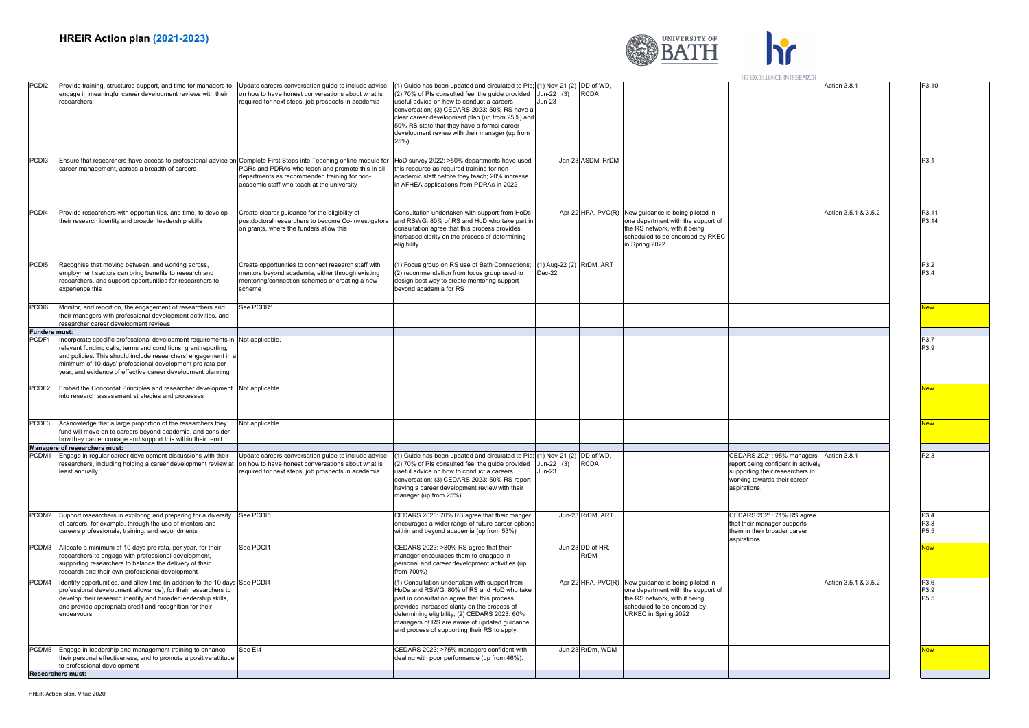

|                      |                                                                                                                                                                                                                                                                                                                               |                                                                                                                                                                     |                                                                                                                                                                                                                                                                                                                                                              |                                                          |                          |                                                                                                                                                                                   | HR EXCELLENCE IN RESEARCH                                                                                                                          |                      |                      |
|----------------------|-------------------------------------------------------------------------------------------------------------------------------------------------------------------------------------------------------------------------------------------------------------------------------------------------------------------------------|---------------------------------------------------------------------------------------------------------------------------------------------------------------------|--------------------------------------------------------------------------------------------------------------------------------------------------------------------------------------------------------------------------------------------------------------------------------------------------------------------------------------------------------------|----------------------------------------------------------|--------------------------|-----------------------------------------------------------------------------------------------------------------------------------------------------------------------------------|----------------------------------------------------------------------------------------------------------------------------------------------------|----------------------|----------------------|
| PCD <sub>12</sub>    | Provide training, structured support, and time for managers to<br>engage in meaningful career development reviews with their<br>researchers                                                                                                                                                                                   | Update careers conversation quide to include advise<br>on how to have honest conversations about what is<br>required for next steps, job prospects in academia      | 1) Guide has been updated and circulated to PIs;<br>2) 70% of PIs consulted feel the guide provided<br>useful advice on how to conduct a careers<br>conversation; (3) CEDARS 2023: 50% RS have a<br>clear career development plan (up from 25%) and<br>50% RS state that they have a formal career<br>development review with their manager (up from<br>25%) | (1) Nov-21 (2) DD of WD,<br>Jun-22 $(3)$<br>Jun-23       | <b>RCDA</b>              |                                                                                                                                                                                   |                                                                                                                                                    | Action 3.8.1         | P3.10                |
| PCD <sub>13</sub>    | Ensure that researchers have access to professional advice on Complete First Steps into Teaching online module for<br>career management, across a breadth of careers                                                                                                                                                          | PGRs and PDRAs who teach and promote this in all<br>departments as recommended training for non-<br>academic staff who teach at the university                      | HoD survey 2022: >50% departments have used<br>this resource as required training for non-<br>academic staff before they teach; 20% increase<br>in AFHEA applications from PDRAs in 2022                                                                                                                                                                     |                                                          | Jan-23 ASDM, RrDM        |                                                                                                                                                                                   |                                                                                                                                                    |                      | P3.1                 |
| PCDI4                | Provide researchers with opportunities, and time, to develop<br>their research identity and broader leadership skills                                                                                                                                                                                                         | Create clearer guidance for the eligibility of<br>postdoctoral researchers to become Co-Investigators<br>on grants, where the funders allow this                    | Consultation undertaken with support from HoDs<br>and RSWG: 80% of RS and HoD who take part in<br>consultation agree that this process provides<br>increased clarity on the process of determining<br>eligibility                                                                                                                                            |                                                          | Apr-22 HPA, PVC(R)       | New guidance is being piloted in<br>one department with the support of<br>the RS network, with it being<br>scheduled to be endorsed by RKEC<br>in Spring 2022.                    |                                                                                                                                                    | Action 3.5.1 & 3.5.2 | P3.11<br>P3.14       |
| PCD <sub>15</sub>    | Recognise that moving between, and working across,<br>employment sectors can bring benefits to research and<br>researchers, and support opportunities for researchers to<br>experience this                                                                                                                                   | Create opportunities to connect research staff with<br>nentors beyond academia, either through existing<br>nentoring/connection schemes or creating a new<br>scheme | 1) Focus group on RS use of Bath Connections;<br>(2) recommendation from focus group used to<br>design best way to create mentoring support<br>beyond academia for RS                                                                                                                                                                                        | (1) Aug-22 (2) RrDM, ART<br>Dec-22                       |                          |                                                                                                                                                                                   |                                                                                                                                                    |                      | P3.2<br>P3.4         |
| PCD <sub>i6</sub>    | Monitor, and report on, the engagement of researchers and<br>their managers with professional development activities, and<br>researcher career development reviews                                                                                                                                                            | See PCDR1                                                                                                                                                           |                                                                                                                                                                                                                                                                                                                                                              |                                                          |                          |                                                                                                                                                                                   |                                                                                                                                                    |                      | New                  |
| <b>Funders must:</b> |                                                                                                                                                                                                                                                                                                                               |                                                                                                                                                                     |                                                                                                                                                                                                                                                                                                                                                              |                                                          |                          |                                                                                                                                                                                   |                                                                                                                                                    |                      |                      |
| PCDF <sub>1</sub>    | Incorporate specific professional development requirements in<br>relevant funding calls, terms and conditions, grant reporting,<br>and policies. This should include researchers' engagement in a<br>minimum of 10 days' professional development pro rata per<br>year, and evidence of effective career development planning | Not applicable                                                                                                                                                      |                                                                                                                                                                                                                                                                                                                                                              |                                                          |                          |                                                                                                                                                                                   |                                                                                                                                                    |                      | P3.7<br>P3.9         |
| PCDF <sub>2</sub>    | Embed the Concordat Principles and researcher development Not applicable.<br>into research assessment strategies and processes                                                                                                                                                                                                |                                                                                                                                                                     |                                                                                                                                                                                                                                                                                                                                                              |                                                          |                          |                                                                                                                                                                                   |                                                                                                                                                    |                      | <b>New</b>           |
| PCDF3                | Acknowledge that a large proportion of the researchers they<br>und will move on to careers beyond academia, and consider<br>now they can encourage and support this within their remit                                                                                                                                        | Not applicable.                                                                                                                                                     |                                                                                                                                                                                                                                                                                                                                                              |                                                          |                          |                                                                                                                                                                                   |                                                                                                                                                    |                      | <b>New</b>           |
|                      | Managers of researchers must:                                                                                                                                                                                                                                                                                                 |                                                                                                                                                                     |                                                                                                                                                                                                                                                                                                                                                              |                                                          |                          |                                                                                                                                                                                   |                                                                                                                                                    |                      |                      |
| PCDM1                | Engage in regular career development discussions with their<br>researchers, including holding a career development review at<br>least annually                                                                                                                                                                                | Update careers conversation guide to include advise<br>on how to have honest conversations about what is<br>required for next steps, job prospects in academia      | 1) Guide has been updated and circulated to Pls;<br>(2) 70% of PIs consulted feel the guide provided<br>useful advice on how to conduct a careers<br>conversation; (3) CEDARS 2023: 50% RS report<br>having a career development review with their<br>manager (up from 25%).                                                                                 | $(1)$ Nov-21 $(2)$ DD of WD,<br>Jun-22 $(3)$<br>$Jun-23$ | RCDA                     |                                                                                                                                                                                   | CEDARS 2021: 95% managers<br>report being confident in actively<br>supporting their researchers in<br>working towards their career<br>aspirations. | Action 3.8.1         | P2.3                 |
| PCDM2                | Support researchers in exploring and preparing for a diversity<br>of careers, for example, through the use of mentors and<br>careers professionals, training, and secondments                                                                                                                                                 | See PCDI5                                                                                                                                                           | CEDARS 2023: 70% RS agree that their manger<br>encourages a wider range of future career options<br>within and beyond academia (up from 53%)                                                                                                                                                                                                                 |                                                          | Jun-23 RrDM, ART         |                                                                                                                                                                                   | CEDARS 2021: 71% RS agree<br>that their manager supports<br>them in their broader career<br>aspirations.                                           |                      | P3.4<br>P3.8<br>P5.5 |
| PCDM3                | Allocate a minimum of 10 days pro rata, per year, for their<br>researchers to engage with professional development,<br>supporting researchers to balance the delivery of their<br>research and their own professional development                                                                                             | See PDCI1                                                                                                                                                           | CEDARS 2023: >80% RS agree that their<br>manager encourages them to enagage in<br>personal and career development activities (up<br>from 700%)                                                                                                                                                                                                               |                                                          | Jun-23 DD of HR,<br>RrDM |                                                                                                                                                                                   |                                                                                                                                                    |                      | New                  |
| PCDM4                | Identify opportunities, and allow time (in addition to the 10 days<br>professional development allowance), for their researchers to<br>develop their research identity and broader leadership skills,<br>and provide appropriate credit and recognition for their<br>endeavours                                               | See PCDI4                                                                                                                                                           | (1) Consultation undertaken with support from<br>HoDs and RSWG: 80% of RS and HoD who take<br>part in consultation agree that this process<br>provides increased clarity on the process of<br>determining eligibility; (2) CEDARS 2023: 60%<br>managers of RS are aware of updated guidance<br>and process of supporting their RS to apply.                  |                                                          |                          | Apr-22 HPA, PVC(R) New guidance is being piloted in<br>one department with the support of<br>the RS network, with it being<br>scheduled to be endorsed by<br>URKEC in Spring 2022 |                                                                                                                                                    | Action 3.5.1 & 3.5.2 | P3.6<br>P3.9<br>P5.5 |
|                      | PCDM5 Engage in leadership and management training to enhance<br>their personal effectiveness, and to promote a positive attitude<br>to professional development                                                                                                                                                              | See El4                                                                                                                                                             | CEDARS 2023: >75% managers confident with<br>dealing with poor performance (up from 46%).                                                                                                                                                                                                                                                                    |                                                          | Jun-23 RrDm, WDM         |                                                                                                                                                                                   |                                                                                                                                                    |                      | New                  |
|                      | <b>Researchers must:</b>                                                                                                                                                                                                                                                                                                      |                                                                                                                                                                     |                                                                                                                                                                                                                                                                                                                                                              |                                                          |                          |                                                                                                                                                                                   |                                                                                                                                                    |                      |                      |